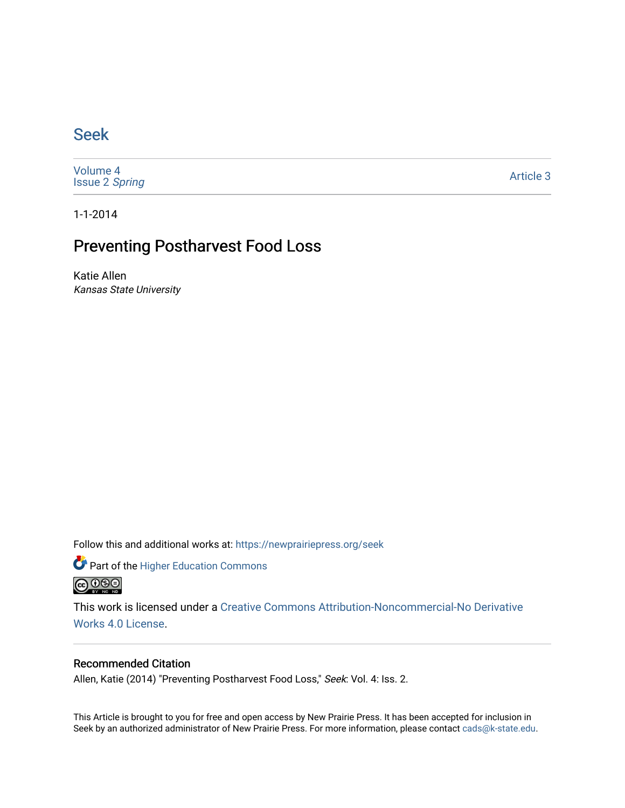## [Seek](https://newprairiepress.org/seek)

[Volume 4](https://newprairiepress.org/seek/vol4) [Issue 2](https://newprairiepress.org/seek/vol4/iss2) Spring

[Article 3](https://newprairiepress.org/seek/vol4/iss2/3) 

1-1-2014

## Preventing Postharvest Food Loss

Katie Allen Kansas State University

Follow this and additional works at: [https://newprairiepress.org/seek](https://newprairiepress.org/seek?utm_source=newprairiepress.org%2Fseek%2Fvol4%2Fiss2%2F3&utm_medium=PDF&utm_campaign=PDFCoverPages)

Part of the [Higher Education Commons](http://network.bepress.com/hgg/discipline/1245?utm_source=newprairiepress.org%2Fseek%2Fvol4%2Fiss2%2F3&utm_medium=PDF&utm_campaign=PDFCoverPages) 



This work is licensed under a [Creative Commons Attribution-Noncommercial-No Derivative](https://creativecommons.org/licenses/by-nc-nd/4.0/)  [Works 4.0 License](https://creativecommons.org/licenses/by-nc-nd/4.0/).

## Recommended Citation

Allen, Katie (2014) "Preventing Postharvest Food Loss," Seek: Vol. 4: Iss. 2.

This Article is brought to you for free and open access by New Prairie Press. It has been accepted for inclusion in Seek by an authorized administrator of New Prairie Press. For more information, please contact [cads@k-state.edu](mailto:cads@k-state.edu).